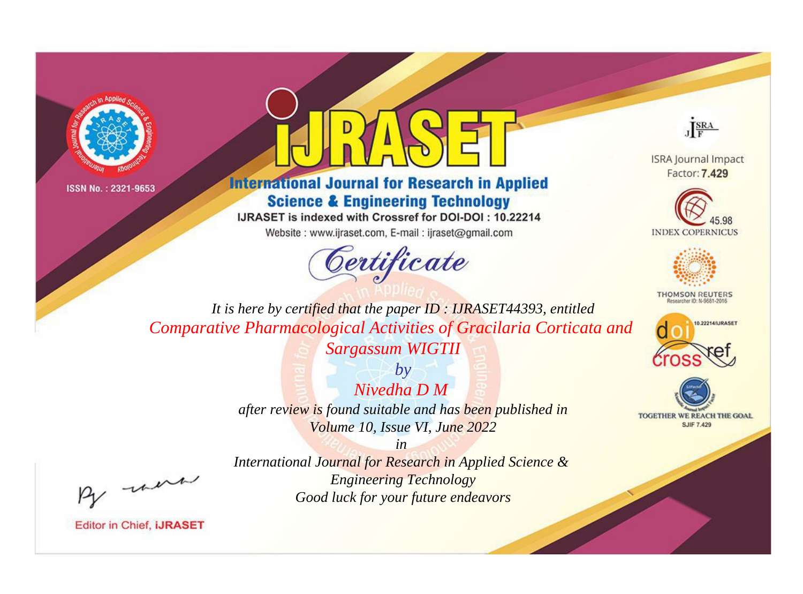



**International Journal for Research in Applied Science & Engineering Technology** 

IJRASET is indexed with Crossref for DOI-DOI: 10.22214

Website: www.ijraset.com, E-mail: ijraset@gmail.com



JERA

**ISRA Journal Impact** Factor: 7.429





**THOMSON REUTERS** 



TOGETHER WE REACH THE GOAL **SJIF 7.429** 

It is here by certified that the paper ID: IJRASET44393, entitled Comparative Pharmacological Activities of Gracilaria Corticata and **Sargassum WIGTII** 

> $by$ Nivedha  $D M$ after review is found suitable and has been published in Volume 10, Issue VI, June 2022

> > $in$

International Journal for Research in Applied Science & **Engineering Technology** Good luck for your future endeavors

were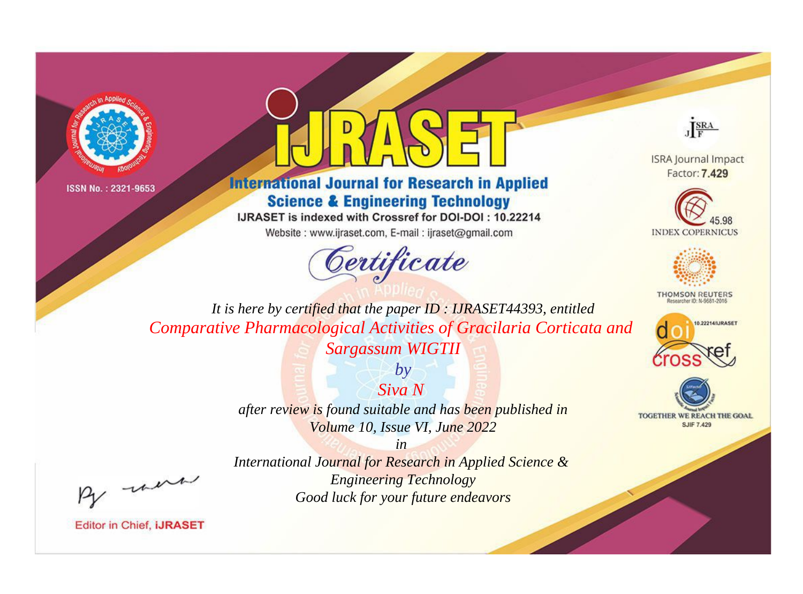



**International Journal for Research in Applied Science & Engineering Technology** 

IJRASET is indexed with Crossref for DOI-DOI: 10.22214

Website: www.ijraset.com, E-mail: ijraset@gmail.com



JERA

**ISRA Journal Impact** Factor: 7.429





**THOMSON REUTERS** 



TOGETHER WE REACH THE GOAL **SJIF 7.429** 

It is here by certified that the paper ID: IJRASET44393, entitled Comparative Pharmacological Activities of Gracilaria Corticata and **Sargassum WIGTII** 

Volume 10, Issue VI, June 2022 International Journal for Research in Applied Science &

**Engineering Technology** Good luck for your future endeavors

 $b\nu$ 

 $Siva N$ 

after review is found suitable and has been published in

 $in$ 

were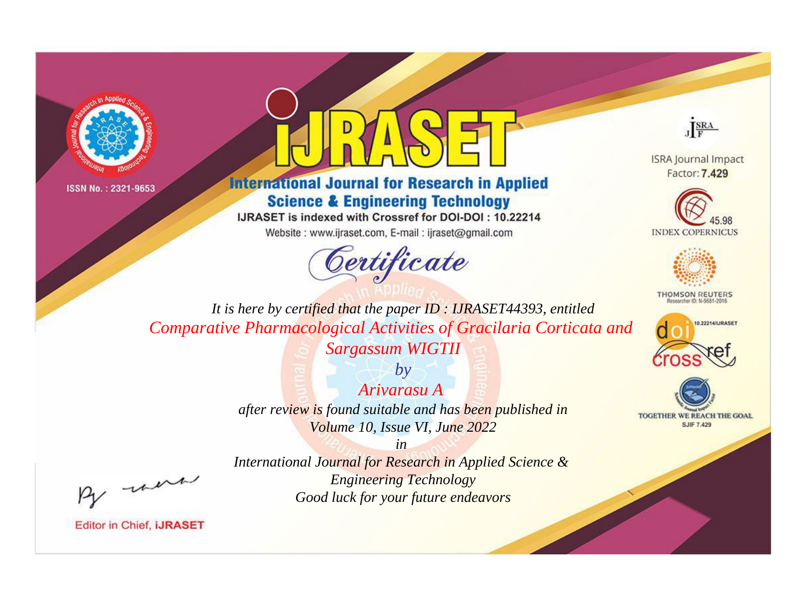



**International Journal for Research in Applied Science & Engineering Technology** 

IJRASET is indexed with Crossref for DOI-DOI: 10.22214

Website: www.ijraset.com, E-mail: ijraset@gmail.com



JERA

**ISRA Journal Impact** Factor: 7.429





**THOMSON REUTERS** 



TOGETHER WE REACH THE GOAL **SJIF 7.429** 

It is here by certified that the paper ID: IJRASET44393, entitled Comparative Pharmacological Activities of Gracilaria Corticata and **Sargassum WIGTII** 

> $b\nu$ Arivarasu A after review is found suitable and has been published in Volume 10, Issue VI, June 2022

were

International Journal for Research in Applied Science & **Engineering Technology** Good luck for your future endeavors

 $in$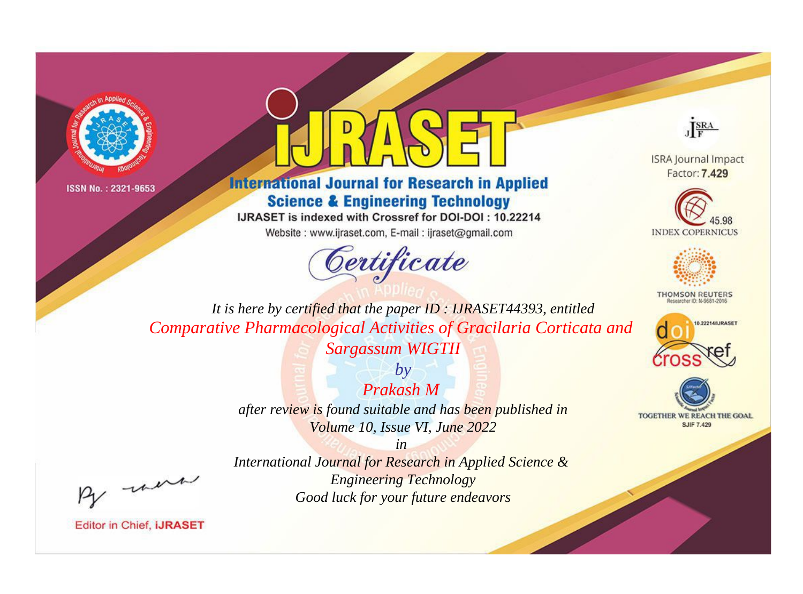



**International Journal for Research in Applied Science & Engineering Technology** 

IJRASET is indexed with Crossref for DOI-DOI: 10.22214

Website: www.ijraset.com, E-mail: ijraset@gmail.com



JERA

**ISRA Journal Impact** Factor: 7.429





**THOMSON REUTERS** 



TOGETHER WE REACH THE GOAL **SJIF 7.429** 

It is here by certified that the paper ID: IJRASET44393, entitled Comparative Pharmacological Activities of Gracilaria Corticata and **Sargassum WIGTII** 

> $b\nu$ Prakash M after review is found suitable and has been published in Volume 10, Issue VI, June 2022

were

International Journal for Research in Applied Science & **Engineering Technology** Good luck for your future endeavors

 $in$